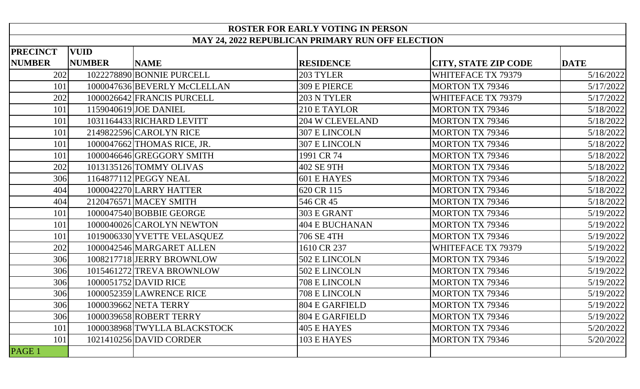| <b>ROSTER FOR EARLY VOTING IN PERSON</b><br><b>MAY 24, 2022 REPUBLICAN PRIMARY RUN OFF ELECTION</b> |               |                              |                        |                             |             |  |  |  |
|-----------------------------------------------------------------------------------------------------|---------------|------------------------------|------------------------|-----------------------------|-------------|--|--|--|
|                                                                                                     |               |                              |                        |                             |             |  |  |  |
| <b>NUMBER</b>                                                                                       | <b>NUMBER</b> | <b>NAME</b>                  | <b>RESIDENCE</b>       | <b>CITY, STATE ZIP CODE</b> | <b>DATE</b> |  |  |  |
| 202                                                                                                 |               | 1022278890 BONNIE PURCELL    | 203 TYLER              | WHITEFACE TX 79379          | 5/16/2022   |  |  |  |
| 101                                                                                                 |               | 1000047636 BEVERLY McCLELLAN | 309 E PIERCE           | <b>MORTON TX 79346</b>      | 5/17/2022   |  |  |  |
| 202                                                                                                 |               | 1000026642 FRANCIS PURCELL   | 203 N TYLER            | WHITEFACE TX 79379          | 5/17/2022   |  |  |  |
| 101                                                                                                 |               | 1159040619 JOE DANIEL        | 210 E TAYLOR           | <b>MORTON TX 79346</b>      | 5/18/2022   |  |  |  |
| 101                                                                                                 |               | 1031164433 RICHARD LEVITT    | <b>204 W CLEVELAND</b> | <b>MORTON TX 79346</b>      | 5/18/2022   |  |  |  |
| 101                                                                                                 |               | 2149822596 CAROLYN RICE      | 307 E LINCOLN          | <b>MORTON TX 79346</b>      | 5/18/2022   |  |  |  |
| 101                                                                                                 |               | 1000047662 THOMAS RICE, JR.  | 307 E LINCOLN          | <b>MORTON TX 79346</b>      | 5/18/2022   |  |  |  |
| 101                                                                                                 |               | 1000046646 GREGGORY SMITH    | 1991 CR 74             | <b>MORTON TX 79346</b>      | 5/18/2022   |  |  |  |
| 202                                                                                                 |               | 1013135126 TOMMY OLIVAS      | 402 SE 9TH             | <b>MORTON TX 79346</b>      | 5/18/2022   |  |  |  |
| 306                                                                                                 |               | 1164877112 PEGGY NEAL        | 601 E HAYES            | <b>MORTON TX 79346</b>      | 5/18/2022   |  |  |  |
| 404                                                                                                 |               | 1000042270 LARRY HATTER      | 620 CR 115             | <b>MORTON TX 79346</b>      | 5/18/2022   |  |  |  |
| 404                                                                                                 |               | 2120476571 MACEY SMITH       | 546 CR 45              | <b>MORTON TX 79346</b>      | 5/18/2022   |  |  |  |
| 101                                                                                                 |               | 1000047540 BOBBIE GEORGE     | 303 E GRANT            | <b>MORTON TX 79346</b>      | 5/19/2022   |  |  |  |
| 101                                                                                                 |               | 1000040026 CAROLYN NEWTON    | <b>404 E BUCHANAN</b>  | <b>MORTON TX 79346</b>      | 5/19/2022   |  |  |  |
| 101                                                                                                 |               | 1019006330 YVETTE VELASQUEZ  | 706 SE 4TH             | <b>MORTON TX 79346</b>      | 5/19/2022   |  |  |  |
| 202                                                                                                 |               | 1000042546 MARGARET ALLEN    | 1610 CR 237            | WHITEFACE TX 79379          | 5/19/2022   |  |  |  |
| 306                                                                                                 |               | 1008217718 JERRY BROWNLOW    | 502 E LINCOLN          | <b>MORTON TX 79346</b>      | 5/19/2022   |  |  |  |
| 306                                                                                                 |               | 1015461272 TREVA BROWNLOW    | 502 E LINCOLN          | <b>MORTON TX 79346</b>      | 5/19/2022   |  |  |  |
| 306                                                                                                 |               | 1000051752 DAVID RICE        | 708 E LINCOLN          | <b>MORTON TX 79346</b>      | 5/19/2022   |  |  |  |
| 306                                                                                                 |               | 1000052359 LAWRENCE RICE     | 708 E LINCOLN          | <b>MORTON TX 79346</b>      | 5/19/2022   |  |  |  |
| 306                                                                                                 |               | 1000039662 NETA TERRY        | 804 E GARFIELD         | <b>MORTON TX 79346</b>      | 5/19/2022   |  |  |  |
| 306                                                                                                 |               | 1000039658 ROBERT TERRY      | 804 E GARFIELD         | <b>MORTON TX 79346</b>      | 5/19/2022   |  |  |  |
| 101                                                                                                 |               | 1000038968 TWYLLA BLACKSTOCK | <b>405 E HAYES</b>     | <b>MORTON TX 79346</b>      | 5/20/2022   |  |  |  |
| 101                                                                                                 |               | 1021410256 DAVID CORDER      | 103 E HAYES            | <b>MORTON TX 79346</b>      | 5/20/2022   |  |  |  |
| PAGE 1                                                                                              |               |                              |                        |                             |             |  |  |  |